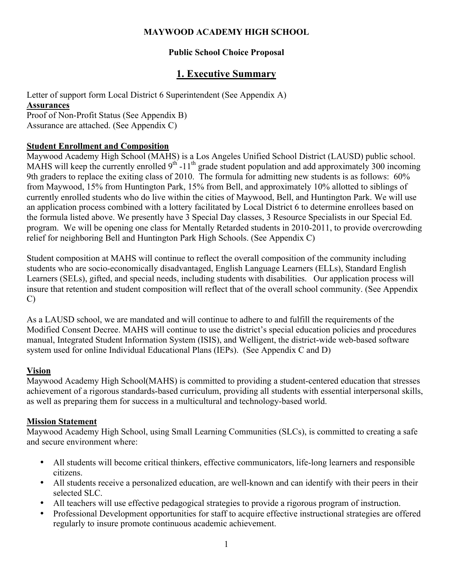### **MAYWOOD ACADEMY HIGH SCHOOL**

# **Public School Choice Proposal**

# **1. Executive Summary**

Letter of support form Local District 6 Superintendent (See Appendix A)

#### **Assurances**

Proof of Non-Profit Status (See Appendix B) Assurance are attached. (See Appendix C)

### **Student Enrollment and Composition**

Maywood Academy High School (MAHS) is a Los Angeles Unified School District (LAUSD) public school. MAHS will keep the currently enrolled  $9<sup>th</sup> - 11<sup>th</sup>$  grade student population and add approximately 300 incoming 9th graders to replace the exiting class of 2010. The formula for admitting new students is as follows: 60% from Maywood, 15% from Huntington Park, 15% from Bell, and approximately 10% allotted to siblings of currently enrolled students who do live within the cities of Maywood, Bell, and Huntington Park. We will use an application process combined with a lottery facilitated by Local District 6 to determine enrollees based on the formula listed above. We presently have 3 Special Day classes, 3 Resource Specialists in our Special Ed. program. We will be opening one class for Mentally Retarded students in 2010-2011, to provide overcrowding relief for neighboring Bell and Huntington Park High Schools. (See Appendix C)

Student composition at MAHS will continue to reflect the overall composition of the community including students who are socio-economically disadvantaged, English Language Learners (ELLs), Standard English Learners (SELs), gifted, and special needs, including students with disabilities. Our application process will insure that retention and student composition will reflect that of the overall school community. (See Appendix C)

As a LAUSD school, we are mandated and will continue to adhere to and fulfill the requirements of the Modified Consent Decree. MAHS will continue to use the district's special education policies and procedures manual, Integrated Student Information System (ISIS), and Welligent, the district-wide web-based software system used for online Individual Educational Plans (IEPs). (See Appendix C and D)

# **Vision**

Maywood Academy High School(MAHS) is committed to providing a student-centered education that stresses achievement of a rigorous standards-based curriculum, providing all students with essential interpersonal skills, as well as preparing them for success in a multicultural and technology-based world.

# **Mission Statement**

Maywood Academy High School, using Small Learning Communities (SLCs), is committed to creating a safe and secure environment where:

- All students will become critical thinkers, effective communicators, life-long learners and responsible citizens.
- All students receive a personalized education, are well-known and can identify with their peers in their selected SLC.
- All teachers will use effective pedagogical strategies to provide a rigorous program of instruction.
- Professional Development opportunities for staff to acquire effective instructional strategies are offered regularly to insure promote continuous academic achievement.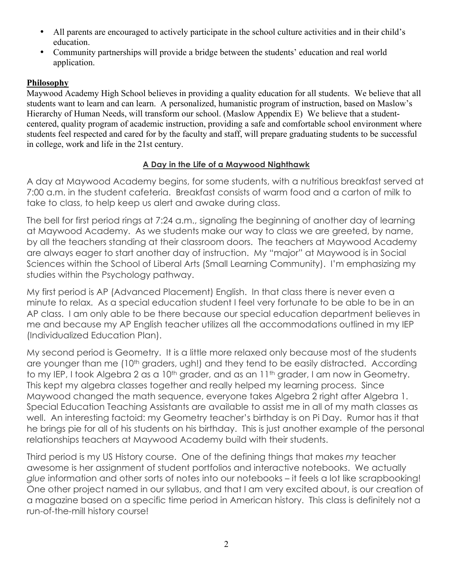- All parents are encouraged to actively participate in the school culture activities and in their child's education.
- Community partnerships will provide a bridge between the students' education and real world application.

# **Philosophy**

Maywood Academy High School believes in providing a quality education for all students. We believe that all students want to learn and can learn. A personalized, humanistic program of instruction, based on Maslow's Hierarchy of Human Needs, will transform our school. (Maslow Appendix E) We believe that a studentcentered, quality program of academic instruction, providing a safe and comfortable school environment where students feel respected and cared for by the faculty and staff, will prepare graduating students to be successful in college, work and life in the 21st century.

# **A Day in the Life of a Maywood Nighthawk**

A day at Maywood Academy begins, for some students, with a nutritious breakfast served at 7:00 a.m. in the student cafeteria. Breakfast consists of warm food and a carton of milk to take to class, to help keep us alert and awake during class.

The bell for first period rings at 7:24 a.m., signaling the beginning of another day of learning at Maywood Academy. As we students make our way to class we are greeted, by name, by all the teachers standing at their classroom doors. The teachers at Maywood Academy are always eager to start another day of instruction. My "major" at Maywood is in Social Sciences within the School of Liberal Arts (Small Learning Community). I'm emphasizing my studies within the Psychology pathway.

My first period is AP (Advanced Placement) English. In that class there is never even a minute to relax. As a special education student I feel very fortunate to be able to be in an AP class. I am only able to be there because our special education department believes in me and because my AP English teacher utilizes all the accommodations outlined in my IEP (Individualized Education Plan).

My second period is Geometry. It is a little more relaxed only because most of the students are younger than me (10<sup>th</sup> graders, ugh!) and they tend to be easily distracted. According to my IEP, I took Algebra 2 as a 10<sup>th</sup> grader, and as an 11<sup>th</sup> grader, I am now in Geometry. This kept my algebra classes together and really helped my learning process. Since Maywood changed the math sequence, everyone takes Algebra 2 right after Algebra 1. Special Education Teaching Assistants are available to assist me in all of my math classes as well. An interesting factoid: my Geometry teacher's birthday is on Pi Day. Rumor has it that he brings pie for all of his students on his birthday. This is just another example of the personal relationships teachers at Maywood Academy build with their students.

Third period is my US History course. One of the defining things that makes *my* teacher awesome is her assignment of student portfolios and interactive notebooks. We actually *glue* information and other sorts of notes into our notebooks – it feels a lot like scrapbooking! One other project named in our syllabus, and that I am very excited about, is our creation of a magazine based on a specific time period in American history. This class is definitely not a run-of-the-mill history course!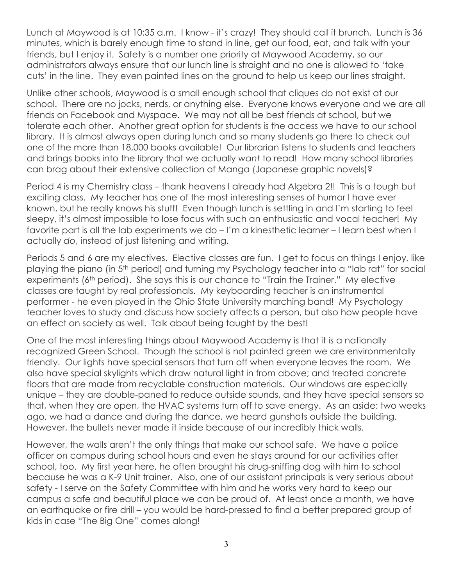Lunch at Maywood is at 10:35 a.m. I know - it's crazy! They should call it brunch. Lunch is 36 minutes, which is barely enough time to stand in line, get our food, eat, and talk with your friends, but I enjoy it. Safety is a number one priority at Maywood Academy, so our administrators always ensure that our lunch line is straight and no one is allowed to 'take cuts' in the line. They even painted lines on the ground to help us keep our lines straight.

Unlike other schools, Maywood is a small enough school that cliques do not exist at our school. There are no jocks, nerds, or anything else. Everyone knows everyone and we are all friends on Facebook and Myspace. We may not all be best friends at school, but we tolerate each other. Another great option for students is the access we have to our school library. It is almost always open during lunch and so many students go there to check out one of the more than 18,000 books available! Our librarian listens to students and teachers and brings books into the library that we actually *want* to read! How many school libraries can brag about their extensive collection of Manga (Japanese graphic novels)?

Period 4 is my Chemistry class – thank heavens I already had Algebra 2!! This is a tough but exciting class. My teacher has one of the most interesting senses of humor I have ever known, but he really knows his stuff! Even though lunch is settling in and I'm starting to feel sleepy, it's almost impossible to lose focus with such an enthusiastic and vocal teacher! My favorite part is all the lab experiments we do – I'm a kinesthetic learner – I learn best when I actually *do*, instead of just listening and writing.

Periods 5 and 6 are my electives. Elective classes are fun. I get to focus on things I enjoy, like playing the piano (in 5th period) and turning my Psychology teacher into a "lab rat" for social experiments (6<sup>th</sup> period). She says this is our chance to "Train the Trainer." My elective classes are taught by real professionals. My keyboarding teacher is an instrumental performer - he even played in the Ohio State University marching band! My Psychology teacher loves to study and discuss how society affects a person, but also how people have an effect on society as well. Talk about being taught by the best!

One of the most interesting things about Maywood Academy is that it is a nationally recognized Green School. Though the school is not painted green we are environmentally friendly. Our lights have special sensors that turn off when everyone leaves the room. We also have special skylights which draw natural light in from above; and treated concrete floors that are made from recyclable construction materials. Our windows are especially unique – they are double-paned to reduce outside sounds, and they have special sensors so that, when they are open, the HVAC systems turn off to save energy. As an aside: two weeks ago, we had a dance and during the dance, we heard gunshots outside the building. However, the bullets never made it inside because of our incredibly thick walls.

However, the walls aren't the only things that make our school safe. We have a police officer on campus during school hours and even he stays around for our activities after school, too. My first year here, he often brought his drug-sniffing dog with him to school because he was a K-9 Unit trainer. Also, one of our assistant principals is very serious about safety - I serve on the Safety Committee with him and he works very hard to keep our campus a safe and beautiful place we can be proud of. At least once a month, we have an earthquake or fire drill – you would be hard-pressed to find a better prepared group of kids in case "The Big One" comes along!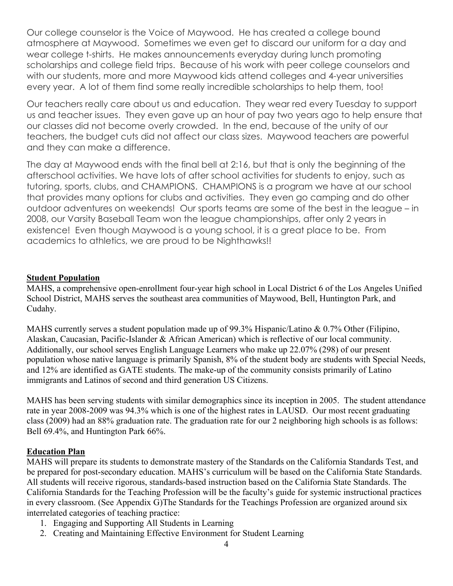Our college counselor is the Voice of Maywood. He has created a college bound atmosphere at Maywood. Sometimes we even get to discard our uniform for a day and wear college t-shirts. He makes announcements everyday during lunch promoting scholarships and college field trips. Because of his work with peer college counselors and with our students, more and more Maywood kids attend colleges and 4-year universities every year. A lot of them find some really incredible scholarships to help them, too!

Our teachers really care about us and education. They wear red every Tuesday to support us and teacher issues. They even gave up an hour of pay two years ago to help ensure that our classes did not become overly crowded. In the end, because of the unity of our teachers, the budget cuts did not affect our class sizes. Maywood teachers are powerful and they can make a difference.

The day at Maywood ends with the final bell at 2:16, but that is only the beginning of the afterschool activities. We have lots of after school activities for students to enjoy, such as tutoring, sports, clubs, and CHAMPIONS. CHAMPIONS is a program we have at our school that provides many options for clubs and activities. They even go camping and do other outdoor adventures on weekends! Our sports teams are some of the best in the league – in 2008, our Varsity Baseball Team won the league championships, after only 2 years in existence! Even though Maywood is a young school, it is a great place to be. From academics to athletics, we are proud to be Nighthawks!!

#### **Student Population**

MAHS, a comprehensive open-enrollment four-year high school in Local District 6 of the Los Angeles Unified School District, MAHS serves the southeast area communities of Maywood, Bell, Huntington Park, and Cudahy.

MAHS currently serves a student population made up of 99.3% Hispanic/Latino & 0.7% Other (Filipino, Alaskan, Caucasian, Pacific-Islander & African American) which is reflective of our local community. Additionally, our school serves English Language Learners who make up 22.07% (298) of our present population whose native language is primarily Spanish, 8% of the student body are students with Special Needs, and 12% are identified as GATE students. The make-up of the community consists primarily of Latino immigrants and Latinos of second and third generation US Citizens.

MAHS has been serving students with similar demographics since its inception in 2005. The student attendance rate in year 2008-2009 was 94.3% which is one of the highest rates in LAUSD. Our most recent graduating class (2009) had an 88% graduation rate. The graduation rate for our 2 neighboring high schools is as follows: Bell 69.4%, and Huntington Park 66%.

#### **Education Plan**

MAHS will prepare its students to demonstrate mastery of the Standards on the California Standards Test, and be prepared for post-secondary education. MAHS's curriculum will be based on the California State Standards. All students will receive rigorous, standards-based instruction based on the California State Standards. The California Standards for the Teaching Profession will be the faculty's guide for systemic instructional practices in every classroom. (See Appendix G)The Standards for the Teachings Profession are organized around six interrelated categories of teaching practice:

- 1. Engaging and Supporting All Students in Learning
- 2. Creating and Maintaining Effective Environment for Student Learning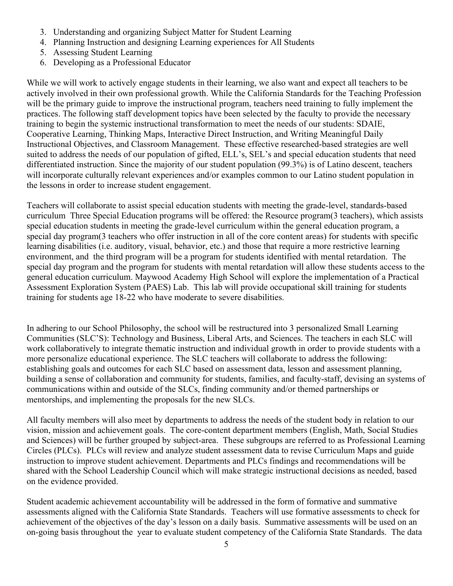- 3. Understanding and organizing Subject Matter for Student Learning
- 4. Planning Instruction and designing Learning experiences for All Students
- 5. Assessing Student Learning
- 6. Developing as a Professional Educator

While we will work to actively engage students in their learning, we also want and expect all teachers to be actively involved in their own professional growth. While the California Standards for the Teaching Profession will be the primary guide to improve the instructional program, teachers need training to fully implement the practices. The following staff development topics have been selected by the faculty to provide the necessary training to begin the systemic instructional transformation to meet the needs of our students: SDAIE, Cooperative Learning, Thinking Maps, Interactive Direct Instruction, and Writing Meaningful Daily Instructional Objectives, and Classroom Management. These effective researched-based strategies are well suited to address the needs of our population of gifted, ELL's, SEL's and special education students that need differentiated instruction. Since the majority of our student population (99.3%) is of Latino descent, teachers will incorporate culturally relevant experiences and/or examples common to our Latino student population in the lessons in order to increase student engagement.

Teachers will collaborate to assist special education students with meeting the grade-level, standards-based curriculum Three Special Education programs will be offered: the Resource program(3 teachers), which assists special education students in meeting the grade-level curriculum within the general education program, a special day program(3 teachers who offer instruction in all of the core content areas) for students with specific learning disabilities (i.e. auditory, visual, behavior, etc.) and those that require a more restrictive learning environment, and the third program will be a program for students identified with mental retardation. The special day program and the program for students with mental retardation will allow these students access to the general education curriculum. Maywood Academy High School will explore the implementation of a Practical Assessment Exploration System (PAES) Lab. This lab will provide occupational skill training for students training for students age 18-22 who have moderate to severe disabilities.

In adhering to our School Philosophy, the school will be restructured into 3 personalized Small Learning Communities (SLC'S): Technology and Business, Liberal Arts, and Sciences. The teachers in each SLC will work collaboratively to integrate thematic instruction and individual growth in order to provide students with a more personalize educational experience. The SLC teachers will collaborate to address the following: establishing goals and outcomes for each SLC based on assessment data, lesson and assessment planning, building a sense of collaboration and community for students, families, and faculty-staff, devising an systems of communications within and outside of the SLCs, finding community and/or themed partnerships or mentorships, and implementing the proposals for the new SLCs.

All faculty members will also meet by departments to address the needs of the student body in relation to our vision, mission and achievement goals. The core-content department members (English, Math, Social Studies and Sciences) will be further grouped by subject-area. These subgroups are referred to as Professional Learning Circles (PLCs). PLCs will review and analyze student assessment data to revise Curriculum Maps and guide instruction to improve student achievement. Departments and PLCs findings and recommendations will be shared with the School Leadership Council which will make strategic instructional decisions as needed, based on the evidence provided.

Student academic achievement accountability will be addressed in the form of formative and summative assessments aligned with the California State Standards. Teachers will use formative assessments to check for achievement of the objectives of the day's lesson on a daily basis. Summative assessments will be used on an on-going basis throughout the year to evaluate student competency of the California State Standards. The data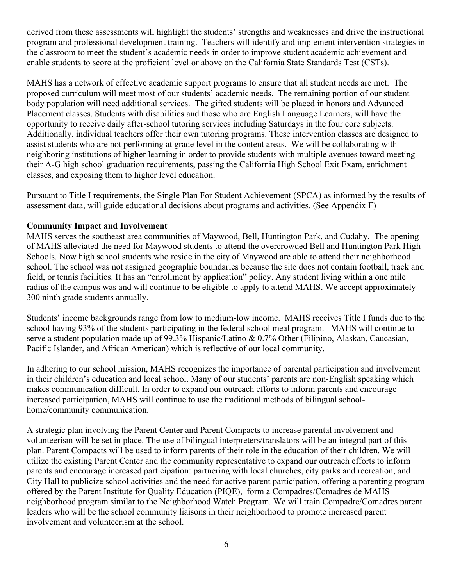derived from these assessments will highlight the students' strengths and weaknesses and drive the instructional program and professional development training. Teachers will identify and implement intervention strategies in the classroom to meet the student's academic needs in order to improve student academic achievement and enable students to score at the proficient level or above on the California State Standards Test (CSTs).

MAHS has a network of effective academic support programs to ensure that all student needs are met. The proposed curriculum will meet most of our students' academic needs. The remaining portion of our student body population will need additional services. The gifted students will be placed in honors and Advanced Placement classes. Students with disabilities and those who are English Language Learners, will have the opportunity to receive daily after-school tutoring services including Saturdays in the four core subjects. Additionally, individual teachers offer their own tutoring programs. These intervention classes are designed to assist students who are not performing at grade level in the content areas. We will be collaborating with neighboring institutions of higher learning in order to provide students with multiple avenues toward meeting their A-G high school graduation requirements, passing the California High School Exit Exam, enrichment classes, and exposing them to higher level education.

Pursuant to Title I requirements, the Single Plan For Student Achievement (SPCA) as informed by the results of assessment data, will guide educational decisions about programs and activities. (See Appendix F)

### **Community Impact and Involvement**

MAHS serves the southeast area communities of Maywood, Bell, Huntington Park, and Cudahy. The opening of MAHS alleviated the need for Maywood students to attend the overcrowded Bell and Huntington Park High Schools. Now high school students who reside in the city of Maywood are able to attend their neighborhood school. The school was not assigned geographic boundaries because the site does not contain football, track and field, or tennis facilities. It has an "enrollment by application" policy. Any student living within a one mile radius of the campus was and will continue to be eligible to apply to attend MAHS. We accept approximately 300 ninth grade students annually.

Students' income backgrounds range from low to medium-low income. MAHS receives Title I funds due to the school having 93% of the students participating in the federal school meal program. MAHS will continue to serve a student population made up of 99.3% Hispanic/Latino & 0.7% Other (Filipino, Alaskan, Caucasian, Pacific Islander, and African American) which is reflective of our local community.

In adhering to our school mission, MAHS recognizes the importance of parental participation and involvement in their children's education and local school. Many of our students' parents are non-English speaking which makes communication difficult. In order to expand our outreach efforts to inform parents and encourage increased participation, MAHS will continue to use the traditional methods of bilingual schoolhome/community communication.

A strategic plan involving the Parent Center and Parent Compacts to increase parental involvement and volunteerism will be set in place. The use of bilingual interpreters/translators will be an integral part of this plan. Parent Compacts will be used to inform parents of their role in the education of their children. We will utilize the existing Parent Center and the community representative to expand our outreach efforts to inform parents and encourage increased participation: partnering with local churches, city parks and recreation, and City Hall to publicize school activities and the need for active parent participation, offering a parenting program offered by the Parent Institute for Quality Education (PIQE), form a Compadres/Comadres de MAHS neighborhood program similar to the Neighborhood Watch Program. We will train Compadre/Comadres parent leaders who will be the school community liaisons in their neighborhood to promote increased parent involvement and volunteerism at the school.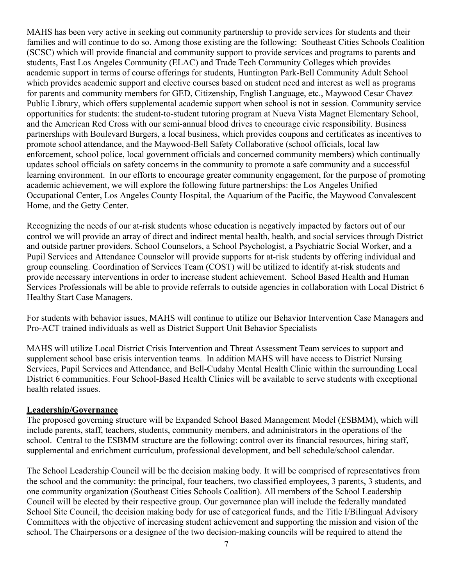MAHS has been very active in seeking out community partnership to provide services for students and their families and will continue to do so. Among those existing are the following: Southeast Cities Schools Coalition (SCSC) which will provide financial and community support to provide services and programs to parents and students, East Los Angeles Community (ELAC) and Trade Tech Community Colleges which provides academic support in terms of course offerings for students, Huntington Park-Bell Community Adult School which provides academic support and elective courses based on student need and interest as well as programs for parents and community members for GED, Citizenship, English Language, etc., Maywood Cesar Chavez Public Library, which offers supplemental academic support when school is not in session. Community service opportunities for students: the student-to-student tutoring program at Nueva Vista Magnet Elementary School, and the American Red Cross with our semi-annual blood drives to encourage civic responsibility. Business partnerships with Boulevard Burgers, a local business, which provides coupons and certificates as incentives to promote school attendance, and the Maywood-Bell Safety Collaborative (school officials, local law enforcement, school police, local government officials and concerned community members) which continually updates school officials on safety concerns in the community to promote a safe community and a successful learning environment. In our efforts to encourage greater community engagement, for the purpose of promoting academic achievement, we will explore the following future partnerships: the Los Angeles Unified Occupational Center, Los Angeles County Hospital, the Aquarium of the Pacific, the Maywood Convalescent Home, and the Getty Center.

Recognizing the needs of our at-risk students whose education is negatively impacted by factors out of our control we will provide an array of direct and indirect mental health, health, and social services through District and outside partner providers. School Counselors, a School Psychologist, a Psychiatric Social Worker, and a Pupil Services and Attendance Counselor will provide supports for at-risk students by offering individual and group counseling. Coordination of Services Team (COST) will be utilized to identify at-risk students and provide necessary interventions in order to increase student achievement. School Based Health and Human Services Professionals will be able to provide referrals to outside agencies in collaboration with Local District 6 Healthy Start Case Managers.

For students with behavior issues, MAHS will continue to utilize our Behavior Intervention Case Managers and Pro-ACT trained individuals as well as District Support Unit Behavior Specialists

MAHS will utilize Local District Crisis Intervention and Threat Assessment Team services to support and supplement school base crisis intervention teams. In addition MAHS will have access to District Nursing Services, Pupil Services and Attendance, and Bell-Cudahy Mental Health Clinic within the surrounding Local District 6 communities. Four School-Based Health Clinics will be available to serve students with exceptional health related issues.

#### **Leadership/Governance**

The proposed governing structure will be Expanded School Based Management Model (ESBMM), which will include parents, staff, teachers, students, community members, and administrators in the operations of the school. Central to the ESBMM structure are the following: control over its financial resources, hiring staff, supplemental and enrichment curriculum, professional development, and bell schedule/school calendar.

The School Leadership Council will be the decision making body. It will be comprised of representatives from the school and the community: the principal, four teachers, two classified employees, 3 parents, 3 students, and one community organization (Southeast Cities Schools Coalition). All members of the School Leadership Council will be elected by their respective group. Our governance plan will include the federally mandated School Site Council, the decision making body for use of categorical funds, and the Title I/Bilingual Advisory Committees with the objective of increasing student achievement and supporting the mission and vision of the school. The Chairpersons or a designee of the two decision-making councils will be required to attend the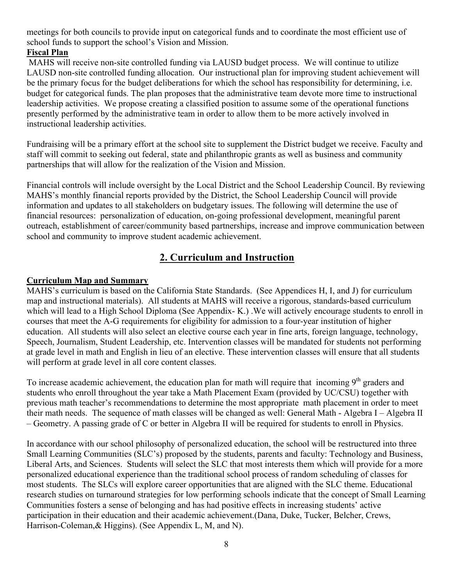meetings for both councils to provide input on categorical funds and to coordinate the most efficient use of school funds to support the school's Vision and Mission.

# **Fiscal Plan**

MAHS will receive non-site controlled funding via LAUSD budget process. We will continue to utilize LAUSD non-site controlled funding allocation. Our instructional plan for improving student achievement will be the primary focus for the budget deliberations for which the school has responsibility for determining, i.e. budget for categorical funds. The plan proposes that the administrative team devote more time to instructional leadership activities. We propose creating a classified position to assume some of the operational functions presently performed by the administrative team in order to allow them to be more actively involved in instructional leadership activities.

Fundraising will be a primary effort at the school site to supplement the District budget we receive. Faculty and staff will commit to seeking out federal, state and philanthropic grants as well as business and community partnerships that will allow for the realization of the Vision and Mission.

Financial controls will include oversight by the Local District and the School Leadership Council. By reviewing MAHS's monthly financial reports provided by the District, the School Leadership Council will provide information and updates to all stakeholders on budgetary issues. The following will determine the use of financial resources: personalization of education, on-going professional development, meaningful parent outreach, establishment of career/community based partnerships, increase and improve communication between school and community to improve student academic achievement.

# **2. Curriculum and Instruction**

# **Curriculum Map and Summary**

MAHS's curriculum is based on the California State Standards. (See Appendices H, I, and J) for curriculum map and instructional materials). All students at MAHS will receive a rigorous, standards-based curriculum which will lead to a High School Diploma (See Appendix- K.) .We will actively encourage students to enroll in courses that meet the A-G requirements for eligibility for admission to a four-year institution of higher education. All students will also select an elective course each year in fine arts, foreign language, technology, Speech, Journalism, Student Leadership, etc. Intervention classes will be mandated for students not performing at grade level in math and English in lieu of an elective. These intervention classes will ensure that all students will perform at grade level in all core content classes.

To increase academic achievement, the education plan for math will require that incoming  $9<sup>th</sup>$  graders and students who enroll throughout the year take a Math Placement Exam (provided by UC/CSU) together with previous math teacher's recommendations to determine the most appropriate math placement in order to meet their math needs. The sequence of math classes will be changed as well: General Math - Algebra I – Algebra II – Geometry. A passing grade of C or better in Algebra II will be required for students to enroll in Physics.

In accordance with our school philosophy of personalized education, the school will be restructured into three Small Learning Communities (SLC's) proposed by the students, parents and faculty: Technology and Business, Liberal Arts, and Sciences. Students will select the SLC that most interests them which will provide for a more personalized educational experience than the traditional school process of random scheduling of classes for most students. The SLCs will explore career opportunities that are aligned with the SLC theme. Educational research studies on turnaround strategies for low performing schools indicate that the concept of Small Learning Communities fosters a sense of belonging and has had positive effects in increasing students' active participation in their education and their academic achievement.(Dana, Duke, Tucker, Belcher, Crews, Harrison-Coleman,& Higgins). (See Appendix L, M, and N).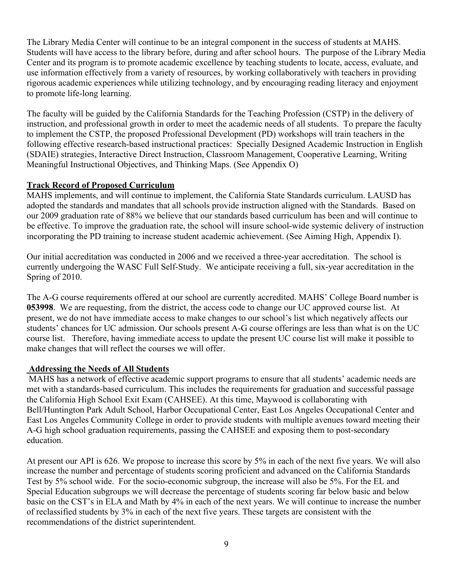The Library Media Center will continue to be an integral component in the success of students at MAHS. Students will have access to the library before, during and after school hours. The purpose of the Library Media Center and its program is to promote academic excellence by teaching students to locate, access, evaluate, and use information effectively from a variety of resources, by working collaboratively with teachers in providing rigorous academic experiences while utilizing technology, and by encouraging reading literacy and enjoyment to promote life-long learning.

The faculty will be guided by the California Standards for the Teaching Profession (CSTP) in the delivery of instruction, and professional growth in order to meet the academic needs of all students. To prepare the faculty to implement the CSTP, the proposed Professional Development (PD) workshops will train teachers in the following effective research-based instructional practices: Specially Designed Academic Instruction in English (SDAIE) strategies, Interactive Direct Instruction, Classroom Management, Cooperative Learning, Writing Meaningful Instructional Objectives, and Thinking Maps. (See Appendix O)

#### **Track Record of Proposed Curriculum**

MAHS implements, and will continue to implement, the California State Standards curriculum. LAUSD has adopted the standards and mandates that all schools provide instruction aligned with the Standards. Based on our 2009 graduation rate of 88% we believe that our standards based curriculum has been and will continue to be effective. To improve the graduation rate, the school will insure school-wide systemic delivery of instruction incorporating the PD training to increase student academic achievement. (See Aiming High, Appendix I).

Our initial accreditation was conducted in 2006 and we received a three-year accreditation. The school is currently undergoing the WASC Full Self-Study. We anticipate receiving a full, six-year accreditation in the Spring of 2010.

The A-G course requirements offered at our school are currently accredited. MAHS' College Board number is **053998**. We are requesting, from the district, the access code to change our UC approved course list. At present, we do not have immediate access to make changes to our school's list which negatively affects our students' chances for UC admission. Our schools present A-G course offerings are less than what is on the UC course list. Therefore, having immediate access to update the present UC course list will make it possible to make changes that will reflect the courses we will offer.

#### **Addressing the Needs of All Students**

MAHS has a network of effective academic support programs to ensure that all students' academic needs are met with a standards-based curriculum. This includes the requirements for graduation and successful passage the California High School Exit Exam (CAHSEE). At this time, Maywood is collaborating with Bell/Huntington Park Adult School, Harbor Occupational Center, East Los Angeles Occupational Center and East Los Angeles Community College in order to provide students with multiple avenues toward meeting their A-G high school graduation requirements, passing the CAHSEE and exposing them to post-secondary education.

At present our API is 626. We propose to increase this score by 5% in each of the next five years. We will also increase the number and percentage of students scoring proficient and advanced on the California Standards Test by 5% school wide. For the socio-economic subgroup, the increase will also be 5%. For the EL and Special Education subgroups we will decrease the percentage of students scoring far below basic and below basic on the CST's in ELA and Math by 4% in each of the next years. We will continue to increase the number of reclassified students by 3% in each of the next five years. These targets are consistent with the recommendations of the district superintendent.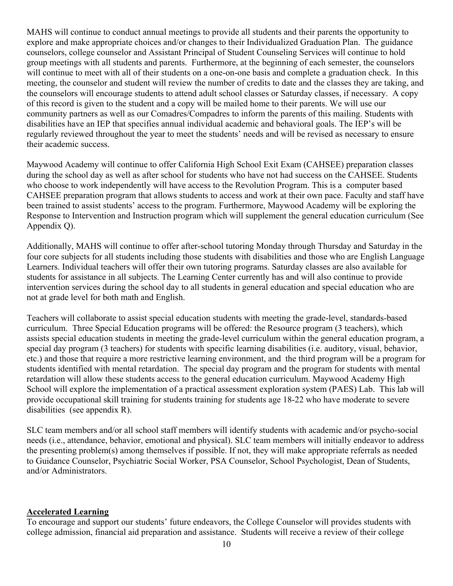MAHS will continue to conduct annual meetings to provide all students and their parents the opportunity to explore and make appropriate choices and/or changes to their Individualized Graduation Plan. The guidance counselors, college counselor and Assistant Principal of Student Counseling Services will continue to hold group meetings with all students and parents. Furthermore, at the beginning of each semester, the counselors will continue to meet with all of their students on a one-on-one basis and complete a graduation check. In this meeting, the counselor and student will review the number of credits to date and the classes they are taking, and the counselors will encourage students to attend adult school classes or Saturday classes, if necessary. A copy of this record is given to the student and a copy will be mailed home to their parents. We will use our community partners as well as our Comadres/Compadres to inform the parents of this mailing. Students with disabilities have an IEP that specifies annual individual academic and behavioral goals. The IEP's will be regularly reviewed throughout the year to meet the students' needs and will be revised as necessary to ensure their academic success.

Maywood Academy will continue to offer California High School Exit Exam (CAHSEE) preparation classes during the school day as well as after school for students who have not had success on the CAHSEE. Students who choose to work independently will have access to the Revolution Program. This is a computer based CAHSEE preparation program that allows students to access and work at their own pace. Faculty and staff have been trained to assist students' access to the program. Furthermore, Maywood Academy will be exploring the Response to Intervention and Instruction program which will supplement the general education curriculum (See Appendix Q).

Additionally, MAHS will continue to offer after-school tutoring Monday through Thursday and Saturday in the four core subjects for all students including those students with disabilities and those who are English Language Learners. Individual teachers will offer their own tutoring programs. Saturday classes are also available for students for assistance in all subjects. The Learning Center currently has and will also continue to provide intervention services during the school day to all students in general education and special education who are not at grade level for both math and English.

Teachers will collaborate to assist special education students with meeting the grade-level, standards-based curriculum. Three Special Education programs will be offered: the Resource program (3 teachers), which assists special education students in meeting the grade-level curriculum within the general education program, a special day program (3 teachers) for students with specific learning disabilities (i.e. auditory, visual, behavior, etc.) and those that require a more restrictive learning environment, and the third program will be a program for students identified with mental retardation. The special day program and the program for students with mental retardation will allow these students access to the general education curriculum. Maywood Academy High School will explore the implementation of a practical assessment exploration system (PAES) Lab. This lab will provide occupational skill training for students training for students age 18-22 who have moderate to severe disabilities (see appendix R).

SLC team members and/or all school staff members will identify students with academic and/or psycho-social needs (i.e., attendance, behavior, emotional and physical). SLC team members will initially endeavor to address the presenting problem(s) among themselves if possible. If not, they will make appropriate referrals as needed to Guidance Counselor, Psychiatric Social Worker, PSA Counselor, School Psychologist, Dean of Students, and/or Administrators.

#### **Accelerated Learning**

To encourage and support our students' future endeavors, the College Counselor will provides students with college admission, financial aid preparation and assistance. Students will receive a review of their college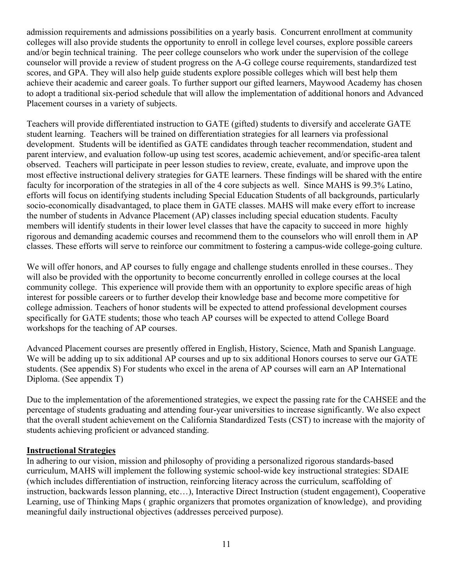admission requirements and admissions possibilities on a yearly basis. Concurrent enrollment at community colleges will also provide students the opportunity to enroll in college level courses, explore possible careers and/or begin technical training. The peer college counselors who work under the supervision of the college counselor will provide a review of student progress on the A-G college course requirements, standardized test scores, and GPA. They will also help guide students explore possible colleges which will best help them achieve their academic and career goals. To further support our gifted learners, Maywood Academy has chosen to adopt a traditional six-period schedule that will allow the implementation of additional honors and Advanced Placement courses in a variety of subjects.

Teachers will provide differentiated instruction to GATE (gifted) students to diversify and accelerate GATE student learning. Teachers will be trained on differentiation strategies for all learners via professional development. Students will be identified as GATE candidates through teacher recommendation, student and parent interview, and evaluation follow-up using test scores, academic achievement, and/or specific-area talent observed. Teachers will participate in peer lesson studies to review, create, evaluate, and improve upon the most effective instructional delivery strategies for GATE learners. These findings will be shared with the entire faculty for incorporation of the strategies in all of the 4 core subjects as well. Since MAHS is 99.3% Latino, efforts will focus on identifying students including Special Education Students of all backgrounds, particularly socio-economically disadvantaged, to place them in GATE classes. MAHS will make every effort to increase the number of students in Advance Placement (AP) classes including special education students. Faculty members will identify students in their lower level classes that have the capacity to succeed in more highly rigorous and demanding academic courses and recommend them to the counselors who will enroll them in AP classes. These efforts will serve to reinforce our commitment to fostering a campus-wide college-going culture.

We will offer honors, and AP courses to fully engage and challenge students enrolled in these courses.. They will also be provided with the opportunity to become concurrently enrolled in college courses at the local community college. This experience will provide them with an opportunity to explore specific areas of high interest for possible careers or to further develop their knowledge base and become more competitive for college admission. Teachers of honor students will be expected to attend professional development courses specifically for GATE students; those who teach AP courses will be expected to attend College Board workshops for the teaching of AP courses.

Advanced Placement courses are presently offered in English, History, Science, Math and Spanish Language. We will be adding up to six additional AP courses and up to six additional Honors courses to serve our GATE students. (See appendix S) For students who excel in the arena of AP courses will earn an AP International Diploma. (See appendix T)

Due to the implementation of the aforementioned strategies, we expect the passing rate for the CAHSEE and the percentage of students graduating and attending four-year universities to increase significantly. We also expect that the overall student achievement on the California Standardized Tests (CST) to increase with the majority of students achieving proficient or advanced standing.

#### **Instructional Strategies**

In adhering to our vision, mission and philosophy of providing a personalized rigorous standards-based curriculum, MAHS will implement the following systemic school-wide key instructional strategies: SDAIE (which includes differentiation of instruction, reinforcing literacy across the curriculum, scaffolding of instruction, backwards lesson planning, etc…), Interactive Direct Instruction (student engagement), Cooperative Learning, use of Thinking Maps ( graphic organizers that promotes organization of knowledge), and providing meaningful daily instructional objectives (addresses perceived purpose).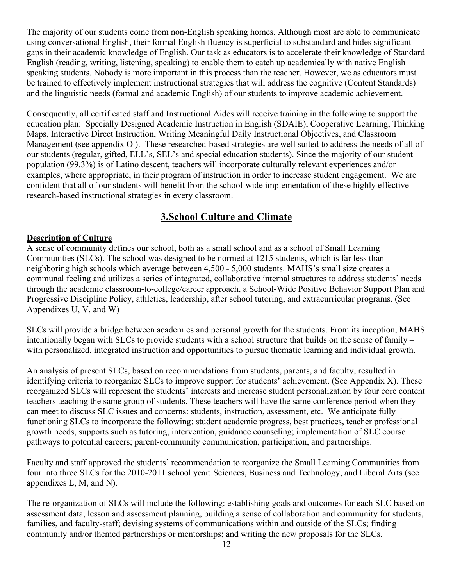The majority of our students come from non-English speaking homes. Although most are able to communicate using conversational English, their formal English fluency is superficial to substandard and hides significant gaps in their academic knowledge of English. Our task as educators is to accelerate their knowledge of Standard English (reading, writing, listening, speaking) to enable them to catch up academically with native English speaking students. Nobody is more important in this process than the teacher. However, we as educators must be trained to effectively implement instructional strategies that will address the cognitive (Content Standards) and the linguistic needs (formal and academic English) of our students to improve academic achievement.

Consequently, all certificated staff and Instructional Aides will receive training in the following to support the education plan: Specially Designed Academic Instruction in English (SDAIE), Cooperative Learning, Thinking Maps, Interactive Direct Instruction, Writing Meaningful Daily Instructional Objectives, and Classroom Management (see appendix O ). These researched-based strategies are well suited to address the needs of all of our students (regular, gifted, ELL's, SEL's and special education students). Since the majority of our student population (99.3%) is of Latino descent, teachers will incorporate culturally relevant experiences and/or examples, where appropriate, in their program of instruction in order to increase student engagement. We are confident that all of our students will benefit from the school-wide implementation of these highly effective research-based instructional strategies in every classroom.

# **3.School Culture and Climate**

### **Description of Culture**

A sense of community defines our school, both as a small school and as a school of Small Learning Communities (SLCs). The school was designed to be normed at 1215 students, which is far less than neighboring high schools which average between 4,500 - 5,000 students. MAHS's small size creates a communal feeling and utilizes a series of integrated, collaborative internal structures to address students' needs through the academic classroom-to-college/career approach, a School-Wide Positive Behavior Support Plan and Progressive Discipline Policy, athletics, leadership, after school tutoring, and extracurricular programs. (See Appendixes U, V, and W)

SLCs will provide a bridge between academics and personal growth for the students. From its inception, MAHS intentionally began with SLCs to provide students with a school structure that builds on the sense of family – with personalized, integrated instruction and opportunities to pursue thematic learning and individual growth.

An analysis of present SLCs, based on recommendations from students, parents, and faculty, resulted in identifying criteria to reorganize SLCs to improve support for students' achievement. (See Appendix X). These reorganized SLCs will represent the students' interests and increase student personalization by four core content teachers teaching the same group of students. These teachers will have the same conference period when they can meet to discuss SLC issues and concerns: students, instruction, assessment, etc. We anticipate fully functioning SLCs to incorporate the following: student academic progress, best practices, teacher professional growth needs, supports such as tutoring, intervention, guidance counseling; implementation of SLC course pathways to potential careers; parent-community communication, participation, and partnerships.

Faculty and staff approved the students' recommendation to reorganize the Small Learning Communities from four into three SLCs for the 2010-2011 school year: Sciences, Business and Technology, and Liberal Arts (see appendixes L, M, and N).

The re-organization of SLCs will include the following: establishing goals and outcomes for each SLC based on assessment data, lesson and assessment planning, building a sense of collaboration and community for students, families, and faculty-staff; devising systems of communications within and outside of the SLCs; finding community and/or themed partnerships or mentorships; and writing the new proposals for the SLCs.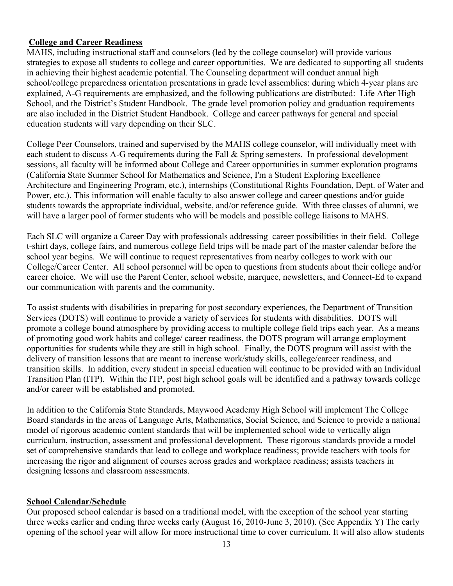#### **College and Career Readiness**

MAHS, including instructional staff and counselors (led by the college counselor) will provide various strategies to expose all students to college and career opportunities. We are dedicated to supporting all students in achieving their highest academic potential. The Counseling department will conduct annual high school/college preparedness orientation presentations in grade level assemblies: during which 4-year plans are explained, A-G requirements are emphasized, and the following publications are distributed: Life After High School, and the District's Student Handbook. The grade level promotion policy and graduation requirements are also included in the District Student Handbook. College and career pathways for general and special education students will vary depending on their SLC.

College Peer Counselors, trained and supervised by the MAHS college counselor, will individually meet with each student to discuss A-G requirements during the Fall & Spring semesters. In professional development sessions, all faculty will be informed about College and Career opportunities in summer exploration programs (California State Summer School for Mathematics and Science, I'm a Student Exploring Excellence Architecture and Engineering Program, etc.), internships (Constitutional Rights Foundation, Dept. of Water and Power, etc.). This information will enable faculty to also answer college and career questions and/or guide students towards the appropriate individual, website, and/or reference guide. With three classes of alumni, we will have a larger pool of former students who will be models and possible college liaisons to MAHS.

Each SLC will organize a Career Day with professionals addressing career possibilities in their field. College t-shirt days, college fairs, and numerous college field trips will be made part of the master calendar before the school year begins. We will continue to request representatives from nearby colleges to work with our College/Career Center. All school personnel will be open to questions from students about their college and/or career choice. We will use the Parent Center, school website, marquee, newsletters, and Connect-Ed to expand our communication with parents and the community.

To assist students with disabilities in preparing for post secondary experiences, the Department of Transition Services (DOTS) will continue to provide a variety of services for students with disabilities. DOTS will promote a college bound atmosphere by providing access to multiple college field trips each year. As a means of promoting good work habits and college/ career readiness, the DOTS program will arrange employment opportunities for students while they are still in high school. Finally, the DOTS program will assist with the delivery of transition lessons that are meant to increase work/study skills, college/career readiness, and transition skills. In addition, every student in special education will continue to be provided with an Individual Transition Plan (ITP). Within the ITP, post high school goals will be identified and a pathway towards college and/or career will be established and promoted.

In addition to the California State Standards, Maywood Academy High School will implement The College Board standards in the areas of Language Arts, Mathematics, Social Science, and Science to provide a national model of rigorous academic content standards that will be implemented school wide to vertically align curriculum, instruction, assessment and professional development. These rigorous standards provide a model set of comprehensive standards that lead to college and workplace readiness; provide teachers with tools for increasing the rigor and alignment of courses across grades and workplace readiness; assists teachers in designing lessons and classroom assessments.

#### **School Calendar/Schedule**

Our proposed school calendar is based on a traditional model, with the exception of the school year starting three weeks earlier and ending three weeks early (August 16, 2010-June 3, 2010). (See Appendix Y) The early opening of the school year will allow for more instructional time to cover curriculum. It will also allow students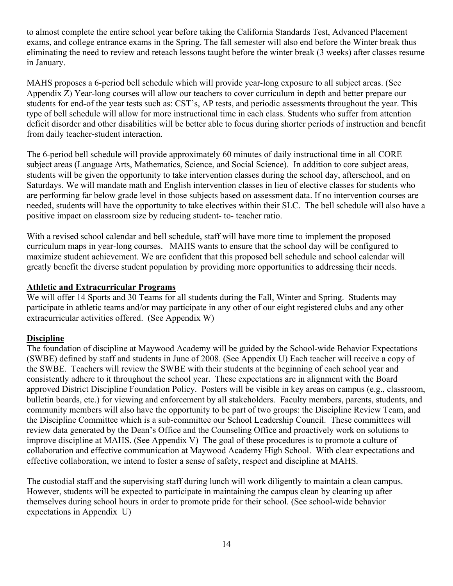to almost complete the entire school year before taking the California Standards Test, Advanced Placement exams, and college entrance exams in the Spring. The fall semester will also end before the Winter break thus eliminating the need to review and reteach lessons taught before the winter break (3 weeks) after classes resume in January.

MAHS proposes a 6-period bell schedule which will provide year-long exposure to all subject areas. (See Appendix Z) Year-long courses will allow our teachers to cover curriculum in depth and better prepare our students for end-of the year tests such as: CST's, AP tests, and periodic assessments throughout the year. This type of bell schedule will allow for more instructional time in each class. Students who suffer from attention deficit disorder and other disabilities will be better able to focus during shorter periods of instruction and benefit from daily teacher-student interaction.

The 6-period bell schedule will provide approximately 60 minutes of daily instructional time in all CORE subject areas (Language Arts, Mathematics, Science, and Social Science). In addition to core subject areas, students will be given the opportunity to take intervention classes during the school day, afterschool, and on Saturdays. We will mandate math and English intervention classes in lieu of elective classes for students who are performing far below grade level in those subjects based on assessment data. If no intervention courses are needed, students will have the opportunity to take electives within their SLC. The bell schedule will also have a positive impact on classroom size by reducing student- to- teacher ratio.

With a revised school calendar and bell schedule, staff will have more time to implement the proposed curriculum maps in year-long courses. MAHS wants to ensure that the school day will be configured to maximize student achievement. We are confident that this proposed bell schedule and school calendar will greatly benefit the diverse student population by providing more opportunities to addressing their needs.

#### **Athletic and Extracurricular Programs**

We will offer 14 Sports and 30 Teams for all students during the Fall, Winter and Spring. Students may participate in athletic teams and/or may participate in any other of our eight registered clubs and any other extracurricular activities offered. (See Appendix W)

#### **Discipline**

The foundation of discipline at Maywood Academy will be guided by the School-wide Behavior Expectations (SWBE) defined by staff and students in June of 2008. (See Appendix U) Each teacher will receive a copy of the SWBE. Teachers will review the SWBE with their students at the beginning of each school year and consistently adhere to it throughout the school year. These expectations are in alignment with the Board approved District Discipline Foundation Policy. Posters will be visible in key areas on campus (e.g., classroom, bulletin boards, etc.) for viewing and enforcement by all stakeholders. Faculty members, parents, students, and community members will also have the opportunity to be part of two groups: the Discipline Review Team, and the Discipline Committee which is a sub-committee our School Leadership Council. These committees will review data generated by the Dean's Office and the Counseling Office and proactively work on solutions to improve discipline at MAHS. (See Appendix V) The goal of these procedures is to promote a culture of collaboration and effective communication at Maywood Academy High School. With clear expectations and effective collaboration, we intend to foster a sense of safety, respect and discipline at MAHS.

The custodial staff and the supervising staff during lunch will work diligently to maintain a clean campus. However, students will be expected to participate in maintaining the campus clean by cleaning up after themselves during school hours in order to promote pride for their school. (See school-wide behavior expectations in Appendix U)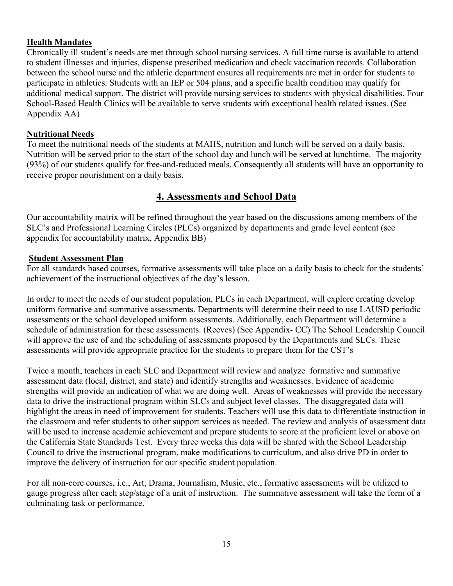#### **Health Mandates**

Chronically ill student's needs are met through school nursing services. A full time nurse is available to attend to student illnesses and injuries, dispense prescribed medication and check vaccination records. Collaboration between the school nurse and the athletic department ensures all requirements are met in order for students to participate in athletics. Students with an IEP or 504 plans, and a specific health condition may qualify for additional medical support. The district will provide nursing services to students with physical disabilities. Four School-Based Health Clinics will be available to serve students with exceptional health related issues. (See Appendix AA)

#### **Nutritional Needs**

To meet the nutritional needs of the students at MAHS, nutrition and lunch will be served on a daily basis. Nutrition will be served prior to the start of the school day and lunch will be served at lunchtime. The majority (93%) of our students qualify for free-and-reduced meals. Consequently all students will have an opportunity to receive proper nourishment on a daily basis.

# **4. Assessments and School Data**

Our accountability matrix will be refined throughout the year based on the discussions among members of the SLC's and Professional Learning Circles (PLCs) organized by departments and grade level content (see appendix for accountability matrix, Appendix BB)

#### **Student Assessment Plan**

For all standards based courses, formative assessments will take place on a daily basis to check for the students' achievement of the instructional objectives of the day's lesson.

In order to meet the needs of our student population, PLCs in each Department, will explore creating develop uniform formative and summative assessments. Departments will determine their need to use LAUSD periodic assessments or the school developed uniform assessments. Additionally, each Department will determine a schedule of administration for these assessments. (Reeves) (See Appendix- CC) The School Leadership Council will approve the use of and the scheduling of assessments proposed by the Departments and SLCs. These assessments will provide appropriate practice for the students to prepare them for the CST's

Twice a month, teachers in each SLC and Department will review and analyze formative and summative assessment data (local, district, and state) and identify strengths and weaknesses. Evidence of academic strengths will provide an indication of what we are doing well. Areas of weaknesses will provide the necessary data to drive the instructional program within SLCs and subject level classes. The disaggregated data will highlight the areas in need of improvement for students. Teachers will use this data to differentiate instruction in the classroom and refer students to other support services as needed. The review and analysis of assessment data will be used to increase academic achievement and prepare students to score at the proficient level or above on the California State Standards Test. Every three weeks this data will be shared with the School Leadership Council to drive the instructional program, make modifications to curriculum, and also drive PD in order to improve the delivery of instruction for our specific student population.

For all non-core courses, i.e., Art, Drama, Journalism, Music, etc., formative assessments will be utilized to gauge progress after each step/stage of a unit of instruction. The summative assessment will take the form of a culminating task or performance.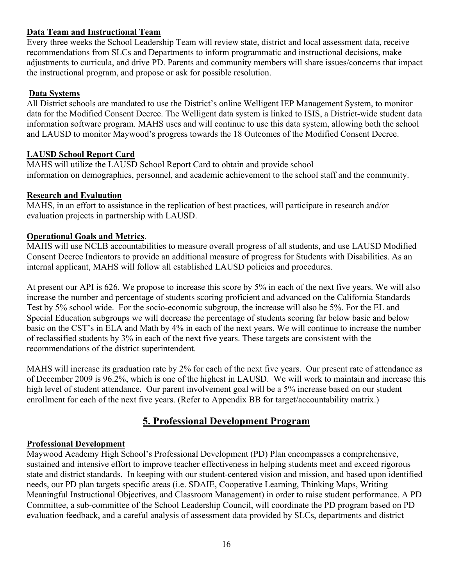# **Data Team and Instructional Team**

Every three weeks the School Leadership Team will review state, district and local assessment data, receive recommendations from SLCs and Departments to inform programmatic and instructional decisions, make adjustments to curricula, and drive PD. Parents and community members will share issues/concerns that impact the instructional program, and propose or ask for possible resolution.

### **Data Systems**

All District schools are mandated to use the District's online Welligent IEP Management System, to monitor data for the Modified Consent Decree. The Welligent data system is linked to ISIS, a District-wide student data information software program. MAHS uses and will continue to use this data system, allowing both the school and LAUSD to monitor Maywood's progress towards the 18 Outcomes of the Modified Consent Decree.

### **LAUSD School Report Card**

MAHS will utilize the LAUSD School Report Card to obtain and provide school information on demographics, personnel, and academic achievement to the school staff and the community.

### **Research and Evaluation**

MAHS, in an effort to assistance in the replication of best practices, will participate in research and/or evaluation projects in partnership with LAUSD.

### **Operational Goals and Metrics**.

MAHS will use NCLB accountabilities to measure overall progress of all students, and use LAUSD Modified Consent Decree Indicators to provide an additional measure of progress for Students with Disabilities. As an internal applicant, MAHS will follow all established LAUSD policies and procedures.

At present our API is 626. We propose to increase this score by 5% in each of the next five years. We will also increase the number and percentage of students scoring proficient and advanced on the California Standards Test by 5% school wide. For the socio-economic subgroup, the increase will also be 5%. For the EL and Special Education subgroups we will decrease the percentage of students scoring far below basic and below basic on the CST's in ELA and Math by 4% in each of the next years. We will continue to increase the number of reclassified students by 3% in each of the next five years. These targets are consistent with the recommendations of the district superintendent.

MAHS will increase its graduation rate by 2% for each of the next five years. Our present rate of attendance as of December 2009 is 96.2%, which is one of the highest in LAUSD. We will work to maintain and increase this high level of student attendance. Our parent involvement goal will be a 5% increase based on our student enrollment for each of the next five years. (Refer to Appendix BB for target/accountability matrix.)

# **5. Professional Development Program**

#### **Professional Development**

Maywood Academy High School's Professional Development (PD) Plan encompasses a comprehensive, sustained and intensive effort to improve teacher effectiveness in helping students meet and exceed rigorous state and district standards. In keeping with our student-centered vision and mission, and based upon identified needs, our PD plan targets specific areas (i.e. SDAIE, Cooperative Learning, Thinking Maps, Writing Meaningful Instructional Objectives, and Classroom Management) in order to raise student performance. A PD Committee, a sub-committee of the School Leadership Council, will coordinate the PD program based on PD evaluation feedback, and a careful analysis of assessment data provided by SLCs, departments and district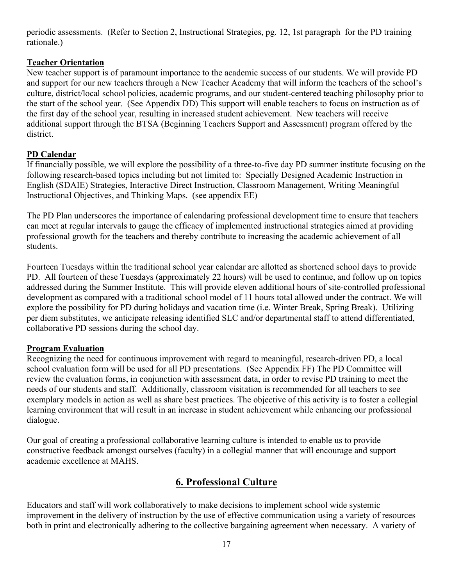periodic assessments. (Refer to Section 2, Instructional Strategies, pg. 12, 1st paragraph for the PD training rationale.)

### **Teacher Orientation**

New teacher support is of paramount importance to the academic success of our students. We will provide PD and support for our new teachers through a New Teacher Academy that will inform the teachers of the school's culture, district/local school policies, academic programs, and our student-centered teaching philosophy prior to the start of the school year. (See Appendix DD) This support will enable teachers to focus on instruction as of the first day of the school year, resulting in increased student achievement. New teachers will receive additional support through the BTSA (Beginning Teachers Support and Assessment) program offered by the district.

# **PD Calendar**

If financially possible, we will explore the possibility of a three-to-five day PD summer institute focusing on the following research-based topics including but not limited to: Specially Designed Academic Instruction in English (SDAIE) Strategies, Interactive Direct Instruction, Classroom Management, Writing Meaningful Instructional Objectives, and Thinking Maps. (see appendix EE)

The PD Plan underscores the importance of calendaring professional development time to ensure that teachers can meet at regular intervals to gauge the efficacy of implemented instructional strategies aimed at providing professional growth for the teachers and thereby contribute to increasing the academic achievement of all students.

Fourteen Tuesdays within the traditional school year calendar are allotted as shortened school days to provide PD. All fourteen of these Tuesdays (approximately 22 hours) will be used to continue, and follow up on topics addressed during the Summer Institute. This will provide eleven additional hours of site-controlled professional development as compared with a traditional school model of 11 hours total allowed under the contract. We will explore the possibility for PD during holidays and vacation time (i.e. Winter Break, Spring Break). Utilizing per diem substitutes, we anticipate releasing identified SLC and/or departmental staff to attend differentiated, collaborative PD sessions during the school day.

# **Program Evaluation**

Recognizing the need for continuous improvement with regard to meaningful, research-driven PD, a local school evaluation form will be used for all PD presentations. (See Appendix FF) The PD Committee will review the evaluation forms, in conjunction with assessment data, in order to revise PD training to meet the needs of our students and staff. Additionally, classroom visitation is recommended for all teachers to see exemplary models in action as well as share best practices. The objective of this activity is to foster a collegial learning environment that will result in an increase in student achievement while enhancing our professional dialogue.

Our goal of creating a professional collaborative learning culture is intended to enable us to provide constructive feedback amongst ourselves (faculty) in a collegial manner that will encourage and support academic excellence at MAHS.

# **6. Professional Culture**

Educators and staff will work collaboratively to make decisions to implement school wide systemic improvement in the delivery of instruction by the use of effective communication using a variety of resources both in print and electronically adhering to the collective bargaining agreement when necessary. A variety of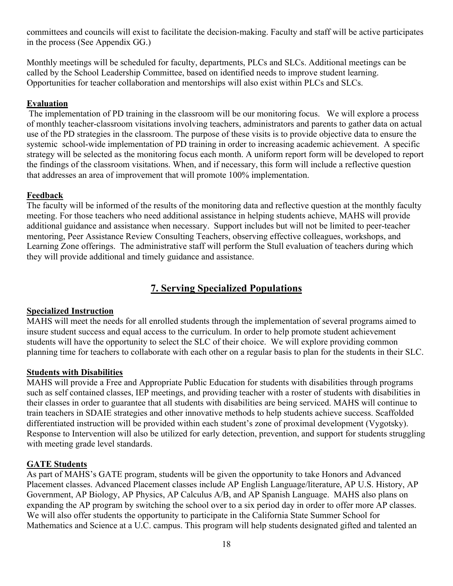committees and councils will exist to facilitate the decision-making. Faculty and staff will be active participates in the process (See Appendix GG.)

Monthly meetings will be scheduled for faculty, departments, PLCs and SLCs. Additional meetings can be called by the School Leadership Committee, based on identified needs to improve student learning. Opportunities for teacher collaboration and mentorships will also exist within PLCs and SLCs.

### **Evaluation**

 The implementation of PD training in the classroom will be our monitoring focus. We will explore a process of monthly teacher-classroom visitations involving teachers, administrators and parents to gather data on actual use of the PD strategies in the classroom. The purpose of these visits is to provide objective data to ensure the systemic school-wide implementation of PD training in order to increasing academic achievement. A specific strategy will be selected as the monitoring focus each month. A uniform report form will be developed to report the findings of the classroom visitations. When, and if necessary, this form will include a reflective question that addresses an area of improvement that will promote 100% implementation.

### **Feedback**

The faculty will be informed of the results of the monitoring data and reflective question at the monthly faculty meeting. For those teachers who need additional assistance in helping students achieve, MAHS will provide additional guidance and assistance when necessary. Support includes but will not be limited to peer-teacher mentoring, Peer Assistance Review Consulting Teachers, observing effective colleagues, workshops, and Learning Zone offerings. The administrative staff will perform the Stull evaluation of teachers during which they will provide additional and timely guidance and assistance.

# **7. Serving Specialized Populations**

#### **Specialized Instruction**

MAHS will meet the needs for all enrolled students through the implementation of several programs aimed to insure student success and equal access to the curriculum. In order to help promote student achievement students will have the opportunity to select the SLC of their choice. We will explore providing common planning time for teachers to collaborate with each other on a regular basis to plan for the students in their SLC.

#### **Students with Disabilities**

MAHS will provide a Free and Appropriate Public Education for students with disabilities through programs such as self contained classes, IEP meetings, and providing teacher with a roster of students with disabilities in their classes in order to guarantee that all students with disabilities are being serviced. MAHS will continue to train teachers in SDAIE strategies and other innovative methods to help students achieve success. Scaffolded differentiated instruction will be provided within each student's zone of proximal development (Vygotsky). Response to Intervention will also be utilized for early detection, prevention, and support for students struggling with meeting grade level standards.

#### **GATE Students**

As part of MAHS's GATE program, students will be given the opportunity to take Honors and Advanced Placement classes. Advanced Placement classes include AP English Language/literature, AP U.S. History, AP Government, AP Biology, AP Physics, AP Calculus A/B, and AP Spanish Language. MAHS also plans on expanding the AP program by switching the school over to a six period day in order to offer more AP classes. We will also offer students the opportunity to participate in the California State Summer School for Mathematics and Science at a U.C. campus. This program will help students designated gifted and talented an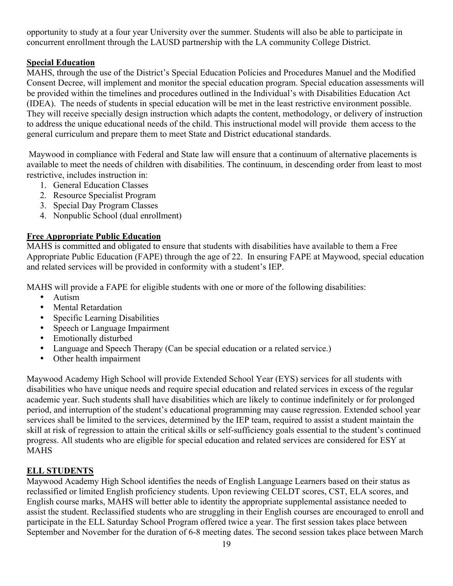opportunity to study at a four year University over the summer. Students will also be able to participate in concurrent enrollment through the LAUSD partnership with the LA community College District.

# **Special Education**

MAHS, through the use of the District's Special Education Policies and Procedures Manuel and the Modified Consent Decree, will implement and monitor the special education program. Special education assessments will be provided within the timelines and procedures outlined in the Individual's with Disabilities Education Act (IDEA). The needs of students in special education will be met in the least restrictive environment possible. They will receive specially design instruction which adapts the content, methodology, or delivery of instruction to address the unique educational needs of the child. This instructional model will provide them access to the general curriculum and prepare them to meet State and District educational standards.

 Maywood in compliance with Federal and State law will ensure that a continuum of alternative placements is available to meet the needs of children with disabilities. The continuum, in descending order from least to most restrictive, includes instruction in:

- 1. General Education Classes
- 2. Resource Specialist Program
- 3. Special Day Program Classes
- 4. Nonpublic School (dual enrollment)

### **Free Appropriate Public Education**

MAHS is committed and obligated to ensure that students with disabilities have available to them a Free Appropriate Public Education (FAPE) through the age of 22. In ensuring FAPE at Maywood, special education and related services will be provided in conformity with a student's IEP.

MAHS will provide a FAPE for eligible students with one or more of the following disabilities:

- Autism
- Mental Retardation
- Specific Learning Disabilities
- Speech or Language Impairment
- Emotionally disturbed
- Language and Speech Therapy (Can be special education or a related service.)
- Other health impairment

Maywood Academy High School will provide Extended School Year (EYS) services for all students with disabilities who have unique needs and require special education and related services in excess of the regular academic year. Such students shall have disabilities which are likely to continue indefinitely or for prolonged period, and interruption of the student's educational programming may cause regression. Extended school year services shall be limited to the services, determined by the IEP team, required to assist a student maintain the skill at risk of regression to attain the critical skills or self-sufficiency goals essential to the student's continued progress. All students who are eligible for special education and related services are considered for ESY at MAHS

# **ELL STUDENTS**

Maywood Academy High School identifies the needs of English Language Learners based on their status as reclassified or limited English proficiency students. Upon reviewing CELDT scores, CST, ELA scores, and English course marks, MAHS will better able to identity the appropriate supplemental assistance needed to assist the student. Reclassified students who are struggling in their English courses are encouraged to enroll and participate in the ELL Saturday School Program offered twice a year. The first session takes place between September and November for the duration of 6-8 meeting dates. The second session takes place between March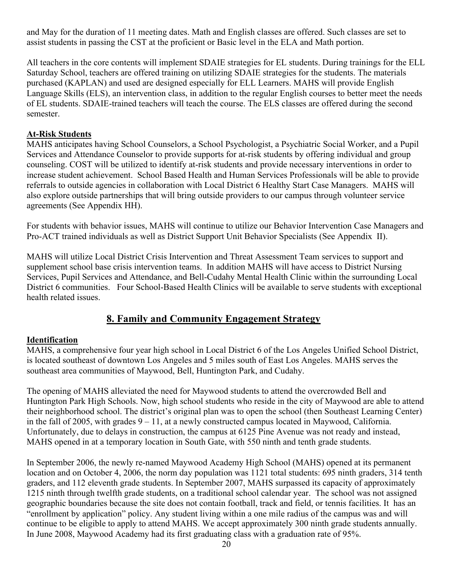and May for the duration of 11 meeting dates. Math and English classes are offered. Such classes are set to assist students in passing the CST at the proficient or Basic level in the ELA and Math portion.

All teachers in the core contents will implement SDAIE strategies for EL students. During trainings for the ELL Saturday School, teachers are offered training on utilizing SDAIE strategies for the students. The materials purchased (KAPLAN) and used are designed especially for ELL Learners. MAHS will provide English Language Skills (ELS), an intervention class, in addition to the regular English courses to better meet the needs of EL students. SDAIE-trained teachers will teach the course. The ELS classes are offered during the second semester.

#### **At-Risk Students**

MAHS anticipates having School Counselors, a School Psychologist, a Psychiatric Social Worker, and a Pupil Services and Attendance Counselor to provide supports for at-risk students by offering individual and group counseling. COST will be utilized to identify at-risk students and provide necessary interventions in order to increase student achievement. School Based Health and Human Services Professionals will be able to provide referrals to outside agencies in collaboration with Local District 6 Healthy Start Case Managers. MAHS will also explore outside partnerships that will bring outside providers to our campus through volunteer service agreements (See Appendix HH).

For students with behavior issues, MAHS will continue to utilize our Behavior Intervention Case Managers and Pro-ACT trained individuals as well as District Support Unit Behavior Specialists (See Appendix II).

MAHS will utilize Local District Crisis Intervention and Threat Assessment Team services to support and supplement school base crisis intervention teams. In addition MAHS will have access to District Nursing Services, Pupil Services and Attendance, and Bell-Cudahy Mental Health Clinic within the surrounding Local District 6 communities. Four School-Based Health Clinics will be available to serve students with exceptional health related issues.

# **8. Family and Community Engagement Strategy**

#### **Identification**

MAHS, a comprehensive four year high school in Local District 6 of the Los Angeles Unified School District, is located southeast of downtown Los Angeles and 5 miles south of East Los Angeles. MAHS serves the southeast area communities of Maywood, Bell, Huntington Park, and Cudahy.

The opening of MAHS alleviated the need for Maywood students to attend the overcrowded Bell and Huntington Park High Schools. Now, high school students who reside in the city of Maywood are able to attend their neighborhood school. The district's original plan was to open the school (then Southeast Learning Center) in the fall of 2005, with grades 9 – 11, at a newly constructed campus located in Maywood, California. Unfortunately, due to delays in construction, the campus at 6125 Pine Avenue was not ready and instead, MAHS opened in at a temporary location in South Gate, with 550 ninth and tenth grade students.

In September 2006, the newly re-named Maywood Academy High School (MAHS) opened at its permanent location and on October 4, 2006, the norm day population was 1121 total students: 695 ninth graders, 314 tenth graders, and 112 eleventh grade students. In September 2007, MAHS surpassed its capacity of approximately 1215 ninth through twelfth grade students, on a traditional school calendar year. The school was not assigned geographic boundaries because the site does not contain football, track and field, or tennis facilities. It has an "enrollment by application" policy. Any student living within a one mile radius of the campus was and will continue to be eligible to apply to attend MAHS. We accept approximately 300 ninth grade students annually. In June 2008, Maywood Academy had its first graduating class with a graduation rate of 95%.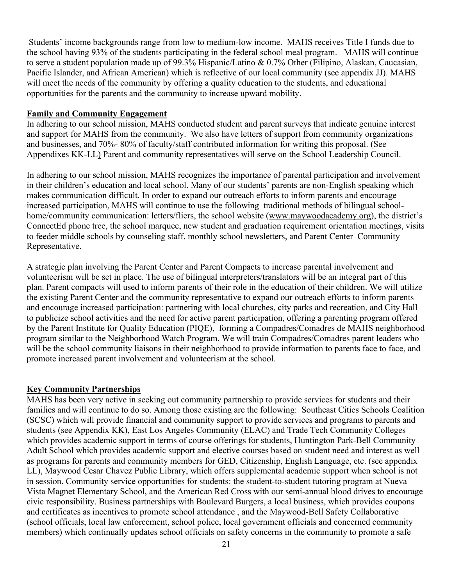Students' income backgrounds range from low to medium-low income. MAHS receives Title I funds due to the school having 93% of the students participating in the federal school meal program. MAHS will continue to serve a student population made up of 99.3% Hispanic/Latino & 0.7% Other (Filipino, Alaskan, Caucasian, Pacific Islander, and African American) which is reflective of our local community (see appendix JJ). MAHS will meet the needs of the community by offering a quality education to the students, and educational opportunities for the parents and the community to increase upward mobility.

#### **Family and Community Engagement**

In adhering to our school mission, MAHS conducted student and parent surveys that indicate genuine interest and support for MAHS from the community. We also have letters of support from community organizations and businesses, and 70%- 80% of faculty/staff contributed information for writing this proposal. (See Appendixes KK-LL) Parent and community representatives will serve on the School Leadership Council.

In adhering to our school mission, MAHS recognizes the importance of parental participation and involvement in their children's education and local school. Many of our students' parents are non-English speaking which makes communication difficult. In order to expand our outreach efforts to inform parents and encourage increased participation, MAHS will continue to use the following traditional methods of bilingual schoolhome/community communication: letters/fliers, the school website (www.maywoodacademy.org), the district's ConnectEd phone tree, the school marquee, new student and graduation requirement orientation meetings, visits to feeder middle schools by counseling staff, monthly school newsletters, and Parent Center Community Representative.

A strategic plan involving the Parent Center and Parent Compacts to increase parental involvement and volunteerism will be set in place. The use of bilingual interpreters/translators will be an integral part of this plan. Parent compacts will used to inform parents of their role in the education of their children. We will utilize the existing Parent Center and the community representative to expand our outreach efforts to inform parents and encourage increased participation: partnering with local churches, city parks and recreation, and City Hall to publicize school activities and the need for active parent participation, offering a parenting program offered by the Parent Institute for Quality Education (PIQE), forming a Compadres/Comadres de MAHS neighborhood program similar to the Neighborhood Watch Program. We will train Compadres/Comadres parent leaders who will be the school community liaisons in their neighborhood to provide information to parents face to face, and promote increased parent involvement and volunteerism at the school.

#### **Key Community Partnerships**

MAHS has been very active in seeking out community partnership to provide services for students and their families and will continue to do so. Among those existing are the following: Southeast Cities Schools Coalition (SCSC) which will provide financial and community support to provide services and programs to parents and students (see Appendix KK), East Los Angeles Community (ELAC) and Trade Tech Community Colleges which provides academic support in terms of course offerings for students, Huntington Park-Bell Community Adult School which provides academic support and elective courses based on student need and interest as well as programs for parents and community members for GED, Citizenship, English Language, etc. (see appendix LL), Maywood Cesar Chavez Public Library, which offers supplemental academic support when school is not in session. Community service opportunities for students: the student-to-student tutoring program at Nueva Vista Magnet Elementary School, and the American Red Cross with our semi-annual blood drives to encourage civic responsibility. Business partnerships with Boulevard Burgers, a local business, which provides coupons and certificates as incentives to promote school attendance , and the Maywood-Bell Safety Collaborative (school officials, local law enforcement, school police, local government officials and concerned community members) which continually updates school officials on safety concerns in the community to promote a safe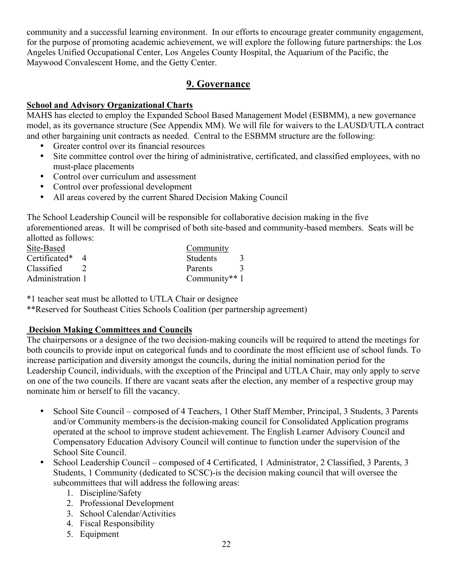community and a successful learning environment. In our efforts to encourage greater community engagement, for the purpose of promoting academic achievement, we will explore the following future partnerships: the Los Angeles Unified Occupational Center, Los Angeles County Hospital, the Aquarium of the Pacific, the Maywood Convalescent Home, and the Getty Center.

# **9. Governance**

### **School and Advisory Organizational Charts**

MAHS has elected to employ the Expanded School Based Management Model (ESBMM), a new governance model, as its governance structure (See Appendix MM). We will file for waivers to the LAUSD/UTLA contract and other bargaining unit contracts as needed. Central to the ESBMM structure are the following:

- Greater control over its financial resources
- Site committee control over the hiring of administrative, certificated, and classified employees, with no must-place placements
- Control over curriculum and assessment
- Control over professional development
- All areas covered by the current Shared Decision Making Council

The School Leadership Council will be responsible for collaborative decision making in the five aforementioned areas. It will be comprised of both site-based and community-based members. Seats will be allotted as follows:

| Site-Based       | Community       |  |
|------------------|-----------------|--|
| Certificated*    | <b>Students</b> |  |
| Classified       | Parents         |  |
| Administration 1 | Community** $1$ |  |

\*1 teacher seat must be allotted to UTLA Chair or designee

\*\*Reserved for Southeast Cities Schools Coalition (per partnership agreement)

# **Decision Making Committees and Councils**

The chairpersons or a designee of the two decision-making councils will be required to attend the meetings for both councils to provide input on categorical funds and to coordinate the most efficient use of school funds. To increase participation and diversity amongst the councils, during the initial nomination period for the Leadership Council, individuals, with the exception of the Principal and UTLA Chair, may only apply to serve on one of the two councils. If there are vacant seats after the election, any member of a respective group may nominate him or herself to fill the vacancy.

- School Site Council composed of 4 Teachers, 1 Other Staff Member, Principal, 3 Students, 3 Parents and/or Community members-is the decision-making council for Consolidated Application programs operated at the school to improve student achievement. The English Learner Advisory Council and Compensatory Education Advisory Council will continue to function under the supervision of the School Site Council.
- School Leadership Council composed of 4 Certificated, 1 Administrator, 2 Classified, 3 Parents, 3 Students, 1 Community (dedicated to SCSC)-is the decision making council that will oversee the subcommittees that will address the following areas:
	- 1. Discipline/Safety
	- 2. Professional Development
	- 3. School Calendar/Activities
	- 4. Fiscal Responsibility
	- 5. Equipment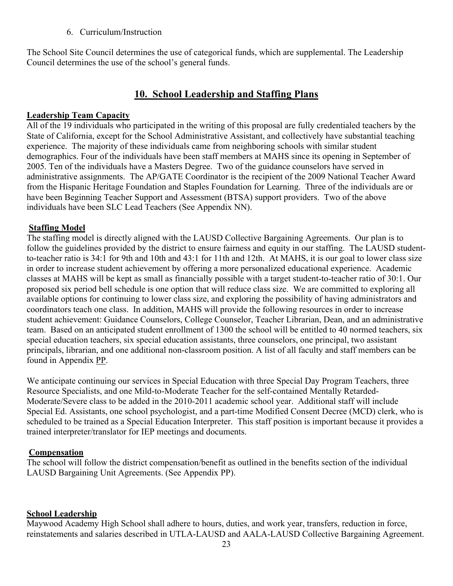6. Curriculum/Instruction

The School Site Council determines the use of categorical funds, which are supplemental. The Leadership Council determines the use of the school's general funds.

# **10. School Leadership and Staffing Plans**

#### **Leadership Team Capacity**

All of the 19 individuals who participated in the writing of this proposal are fully credentialed teachers by the State of California, except for the School Administrative Assistant, and collectively have substantial teaching experience. The majority of these individuals came from neighboring schools with similar student demographics. Four of the individuals have been staff members at MAHS since its opening in September of 2005. Ten of the individuals have a Masters Degree. Two of the guidance counselors have served in administrative assignments. The AP/GATE Coordinator is the recipient of the 2009 National Teacher Award from the Hispanic Heritage Foundation and Staples Foundation for Learning. Three of the individuals are or have been Beginning Teacher Support and Assessment (BTSA) support providers. Two of the above individuals have been SLC Lead Teachers (See Appendix NN).

### **Staffing Model**

The staffing model is directly aligned with the LAUSD Collective Bargaining Agreements. Our plan is to follow the guidelines provided by the district to ensure fairness and equity in our staffing. The LAUSD studentto-teacher ratio is 34:1 for 9th and 10th and 43:1 for 11th and 12th. At MAHS, it is our goal to lower class size in order to increase student achievement by offering a more personalized educational experience. Academic classes at MAHS will be kept as small as financially possible with a target student-to-teacher ratio of 30:1. Our proposed six period bell schedule is one option that will reduce class size. We are committed to exploring all available options for continuing to lower class size, and exploring the possibility of having administrators and coordinators teach one class. In addition, MAHS will provide the following resources in order to increase student achievement: Guidance Counselors, College Counselor, Teacher Librarian, Dean, and an administrative team. Based on an anticipated student enrollment of 1300 the school will be entitled to 40 normed teachers, six special education teachers, six special education assistants, three counselors, one principal, two assistant principals, librarian, and one additional non-classroom position. A list of all faculty and staff members can be found in Appendix PP.

We anticipate continuing our services in Special Education with three Special Day Program Teachers, three Resource Specialists, and one Mild-to-Moderate Teacher for the self-contained Mentally Retarded-Moderate/Severe class to be added in the 2010-2011 academic school year. Additional staff will include Special Ed. Assistants, one school psychologist, and a part-time Modified Consent Decree (MCD) clerk, who is scheduled to be trained as a Special Education Interpreter. This staff position is important because it provides a trained interpreter/translator for IEP meetings and documents.

#### **Compensation**

The school will follow the district compensation/benefit as outlined in the benefits section of the individual LAUSD Bargaining Unit Agreements. (See Appendix PP).

#### **School Leadership**

Maywood Academy High School shall adhere to hours, duties, and work year, transfers, reduction in force, reinstatements and salaries described in UTLA-LAUSD and AALA-LAUSD Collective Bargaining Agreement.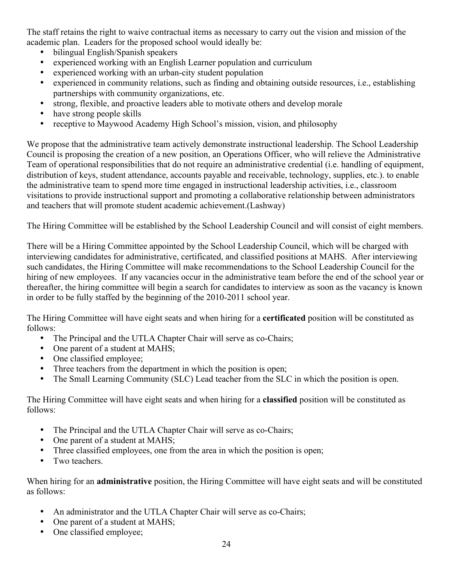The staff retains the right to waive contractual items as necessary to carry out the vision and mission of the academic plan. Leaders for the proposed school would ideally be:

- bilingual English/Spanish speakers
- experienced working with an English Learner population and curriculum
- experienced working with an urban-city student population
- experienced in community relations, such as finding and obtaining outside resources, i.e., establishing partnerships with community organizations, etc.
- strong, flexible, and proactive leaders able to motivate others and develop morale
- have strong people skills
- receptive to Maywood Academy High School's mission, vision, and philosophy

We propose that the administrative team actively demonstrate instructional leadership. The School Leadership Council is proposing the creation of a new position, an Operations Officer, who will relieve the Administrative Team of operational responsibilities that do not require an administrative credential (i.e. handling of equipment, distribution of keys, student attendance, accounts payable and receivable, technology, supplies, etc.). to enable the administrative team to spend more time engaged in instructional leadership activities, i.e., classroom visitations to provide instructional support and promoting a collaborative relationship between administrators and teachers that will promote student academic achievement.(Lashway)

The Hiring Committee will be established by the School Leadership Council and will consist of eight members.

There will be a Hiring Committee appointed by the School Leadership Council, which will be charged with interviewing candidates for administrative, certificated, and classified positions at MAHS. After interviewing such candidates, the Hiring Committee will make recommendations to the School Leadership Council for the hiring of new employees. If any vacancies occur in the administrative team before the end of the school year or thereafter, the hiring committee will begin a search for candidates to interview as soon as the vacancy is known in order to be fully staffed by the beginning of the 2010-2011 school year.

The Hiring Committee will have eight seats and when hiring for a **certificated** position will be constituted as follows:

- The Principal and the UTLA Chapter Chair will serve as co-Chairs;
- One parent of a student at MAHS;
- One classified employee;
- Three teachers from the department in which the position is open;
- The Small Learning Community (SLC) Lead teacher from the SLC in which the position is open.

The Hiring Committee will have eight seats and when hiring for a **classified** position will be constituted as follows:

- The Principal and the UTLA Chapter Chair will serve as co-Chairs;
- One parent of a student at MAHS:
- Three classified employees, one from the area in which the position is open;
- Two teachers.

When hiring for an **administrative** position, the Hiring Committee will have eight seats and will be constituted as follows:

- An administrator and the UTLA Chapter Chair will serve as co-Chairs;
- One parent of a student at MAHS;
- One classified employee;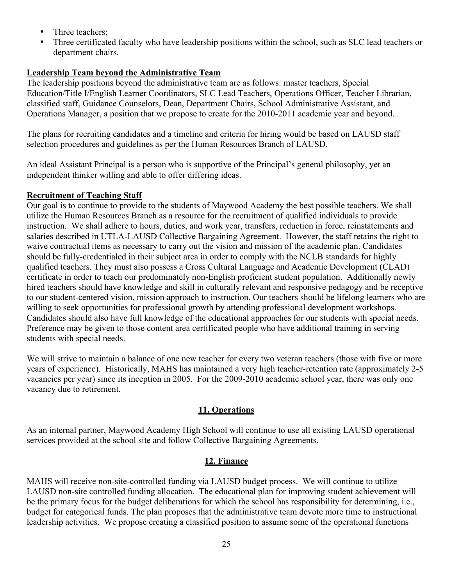- Three teachers;
- Three certificated faculty who have leadership positions within the school, such as SLC lead teachers or department chairs.

# **Leadership Team beyond the Administrative Team**

The leadership positions beyond the administrative team are as follows: master teachers, Special Education/Title I/English Learner Coordinators, SLC Lead Teachers, Operations Officer, Teacher Librarian, classified staff, Guidance Counselors, Dean, Department Chairs, School Administrative Assistant, and Operations Manager, a position that we propose to create for the 2010-2011 academic year and beyond. .

The plans for recruiting candidates and a timeline and criteria for hiring would be based on LAUSD staff selection procedures and guidelines as per the Human Resources Branch of LAUSD.

An ideal Assistant Principal is a person who is supportive of the Principal's general philosophy, yet an independent thinker willing and able to offer differing ideas.

# **Recruitment of Teaching Staff**

Our goal is to continue to provide to the students of Maywood Academy the best possible teachers. We shall utilize the Human Resources Branch as a resource for the recruitment of qualified individuals to provide instruction. We shall adhere to hours, duties, and work year, transfers, reduction in force, reinstatements and salaries described in UTLA-LAUSD Collective Bargaining Agreement. However, the staff retains the right to waive contractual items as necessary to carry out the vision and mission of the academic plan. Candidates should be fully-credentialed in their subject area in order to comply with the NCLB standards for highly qualified teachers. They must also possess a Cross Cultural Language and Academic Development (CLAD) certificate in order to teach our predominately non-English proficient student population. Additionally newly hired teachers should have knowledge and skill in culturally relevant and responsive pedagogy and be receptive to our student-centered vision, mission approach to instruction. Our teachers should be lifelong learners who are willing to seek opportunities for professional growth by attending professional development workshops. Candidates should also have full knowledge of the educational approaches for our students with special needs. Preference may be given to those content area certificated people who have additional training in serving students with special needs.

We will strive to maintain a balance of one new teacher for every two veteran teachers (those with five or more years of experience). Historically, MAHS has maintained a very high teacher-retention rate (approximately 2-5 vacancies per year) since its inception in 2005. For the 2009-2010 academic school year, there was only one vacancy due to retirement.

# **11. Operations**

As an internal partner, Maywood Academy High School will continue to use all existing LAUSD operational services provided at the school site and follow Collective Bargaining Agreements.

# **12. Finance**

MAHS will receive non-site-controlled funding via LAUSD budget process. We will continue to utilize LAUSD non-site controlled funding allocation. The educational plan for improving student achievement will be the primary focus for the budget deliberations for which the school has responsibility for determining, i.e., budget for categorical funds. The plan proposes that the administrative team devote more time to instructional leadership activities. We propose creating a classified position to assume some of the operational functions